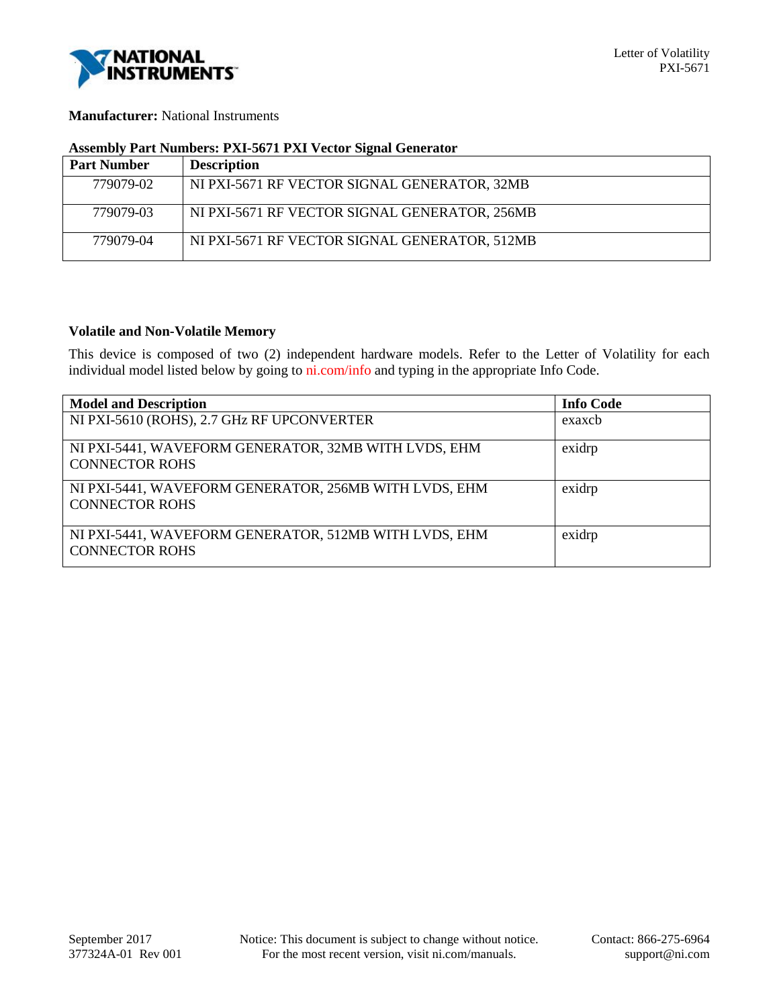

### **Manufacturer:** National Instruments

## **Assembly Part Numbers: PXI-5671 PXI Vector Signal Generator**

| <b>Part Number</b> | <b>Description</b>                            |
|--------------------|-----------------------------------------------|
| 779079-02          | NI PXI-5671 RF VECTOR SIGNAL GENERATOR, 32MB  |
| 779079-03          | NI PXI-5671 RF VECTOR SIGNAL GENERATOR, 256MB |
| 779079-04          | NI PXI-5671 RF VECTOR SIGNAL GENERATOR, 512MB |

### **Volatile and Non-Volatile Memory**

This device is composed of two (2) independent hardware models. Refer to the Letter of Volatility for each individual model listed below by going to ni.com/info and typing in the appropriate Info Code.

| <b>Model and Description</b>                                                   | <b>Info Code</b> |
|--------------------------------------------------------------------------------|------------------|
| NI PXI-5610 (ROHS), 2.7 GHz RF UPCONVERTER                                     | exaxcb           |
| NI PXI-5441, WAVEFORM GENERATOR, 32MB WITH LVDS, EHM<br><b>CONNECTOR ROHS</b>  | exidrp           |
| NI PXI-5441, WAVEFORM GENERATOR, 256MB WITH LVDS, EHM<br><b>CONNECTOR ROHS</b> | exidrp           |
| NI PXI-5441, WAVEFORM GENERATOR, 512MB WITH LVDS, EHM<br><b>CONNECTOR ROHS</b> | exidrp           |